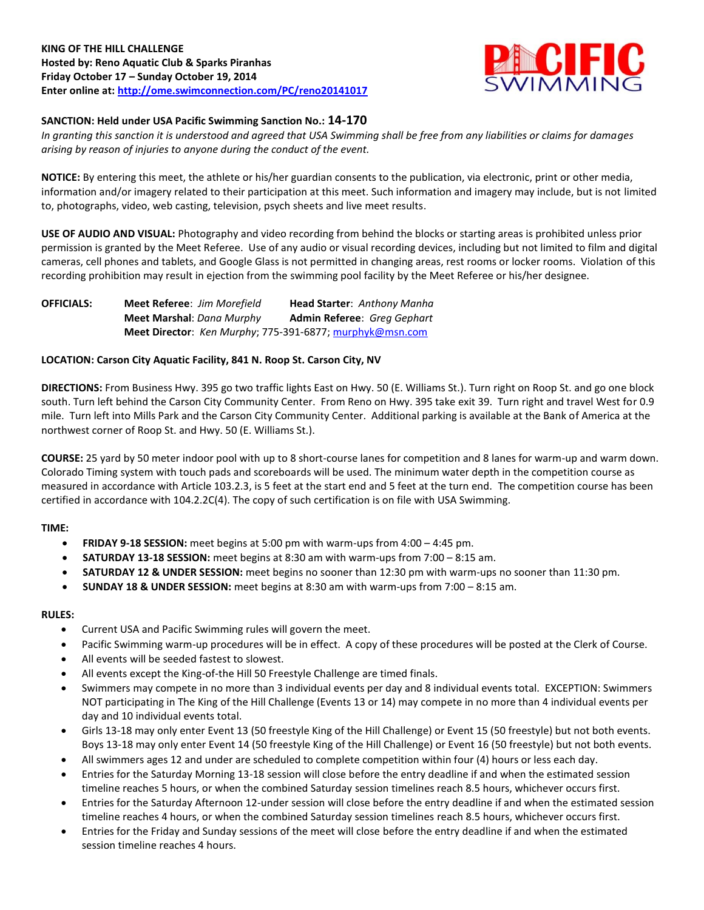# **KING OF THE HILL CHALLENGE Hosted by: Reno Aquatic Club & Sparks Piranhas Friday October 17 – Sunday October 19, 2014 Enter online at:<http://ome.swimconnection.com/PC/reno20141017>**



# **SANCTION: Held under USA Pacific Swimming Sanction No.: 14-170**

*In granting this sanction it is understood and agreed that USA Swimming shall be free from any liabilities or claims for damages arising by reason of injuries to anyone during the conduct of the event.*

**NOTICE:** By entering this meet, the athlete or his/her guardian consents to the publication, via electronic, print or other media, information and/or imagery related to their participation at this meet. Such information and imagery may include, but is not limited to, photographs, video, web casting, television, psych sheets and live meet results.

**USE OF AUDIO AND VISUAL:** Photography and video recording from behind the blocks or starting areas is prohibited unless prior permission is granted by the Meet Referee. Use of any audio or visual recording devices, including but not limited to film and digital cameras, cell phones and tablets, and Google Glass is not permitted in changing areas, rest rooms or locker rooms. Violation of this recording prohibition may result in ejection from the swimming pool facility by the Meet Referee or his/her designee.

**OFFICIALS: Meet Referee**: *Jim Morefield* **Head Starter**: *Anthony Manha* **Meet Marshal**: *Dana Murphy* **Admin Referee**: *Greg Gephart* **Meet Director**: *Ken Murphy*; 775-391-6877[; murphyk@msn.com](mailto:murphyk@msn.com)

### **LOCATION: Carson City Aquatic Facility, 841 N. Roop St. Carson City, NV**

**DIRECTIONS:** From Business Hwy. 395 go two traffic lights East on Hwy. 50 (E. Williams St.). Turn right on Roop St. and go one block south. Turn left behind the Carson City Community Center. From Reno on Hwy. 395 take exit 39. Turn right and travel West for 0.9 mile. Turn left into Mills Park and the Carson City Community Center. Additional parking is available at the Bank of America at the northwest corner of Roop St. and Hwy. 50 (E. Williams St.).

**COURSE:** 25 yard by 50 meter indoor pool with up to 8 short-course lanes for competition and 8 lanes for warm-up and warm down. Colorado Timing system with touch pads and scoreboards will be used. The minimum water depth in the competition course as measured in accordance with Article 103.2.3, is 5 feet at the start end and 5 feet at the turn end. The competition course has been certified in accordance with 104.2.2C(4). The copy of such certification is on file with USA Swimming.

# **TIME:**

- **FRIDAY 9-18 SESSION:** meet begins at 5:00 pm with warm-ups from 4:00 4:45 pm.
- **SATURDAY 13-18 SESSION:** meet begins at 8:30 am with warm-ups from 7:00 8:15 am.
- **SATURDAY 12 & UNDER SESSION:** meet begins no sooner than 12:30 pm with warm-ups no sooner than 11:30 pm.
- **SUNDAY 18 & UNDER SESSION:** meet begins at 8:30 am with warm-ups from 7:00 8:15 am.

### **RULES:**

- Current USA and Pacific Swimming rules will govern the meet.
- Pacific Swimming warm-up procedures will be in effect. A copy of these procedures will be posted at the Clerk of Course.
- All events will be seeded fastest to slowest.
- All events except the King-of-the Hill 50 Freestyle Challenge are timed finals.
- Swimmers may compete in no more than 3 individual events per day and 8 individual events total. EXCEPTION: Swimmers NOT participating in The King of the Hill Challenge (Events 13 or 14) may compete in no more than 4 individual events per day and 10 individual events total.
- Girls 13-18 may only enter Event 13 (50 freestyle King of the Hill Challenge) or Event 15 (50 freestyle) but not both events. Boys 13-18 may only enter Event 14 (50 freestyle King of the Hill Challenge) or Event 16 (50 freestyle) but not both events.
- All swimmers ages 12 and under are scheduled to complete competition within four (4) hours or less each day.
- Entries for the Saturday Morning 13-18 session will close before the entry deadline if and when the estimated session timeline reaches 5 hours, or when the combined Saturday session timelines reach 8.5 hours, whichever occurs first.
- Entries for the Saturday Afternoon 12-under session will close before the entry deadline if and when the estimated session timeline reaches 4 hours, or when the combined Saturday session timelines reach 8.5 hours, whichever occurs first.
- Entries for the Friday and Sunday sessions of the meet will close before the entry deadline if and when the estimated session timeline reaches 4 hours.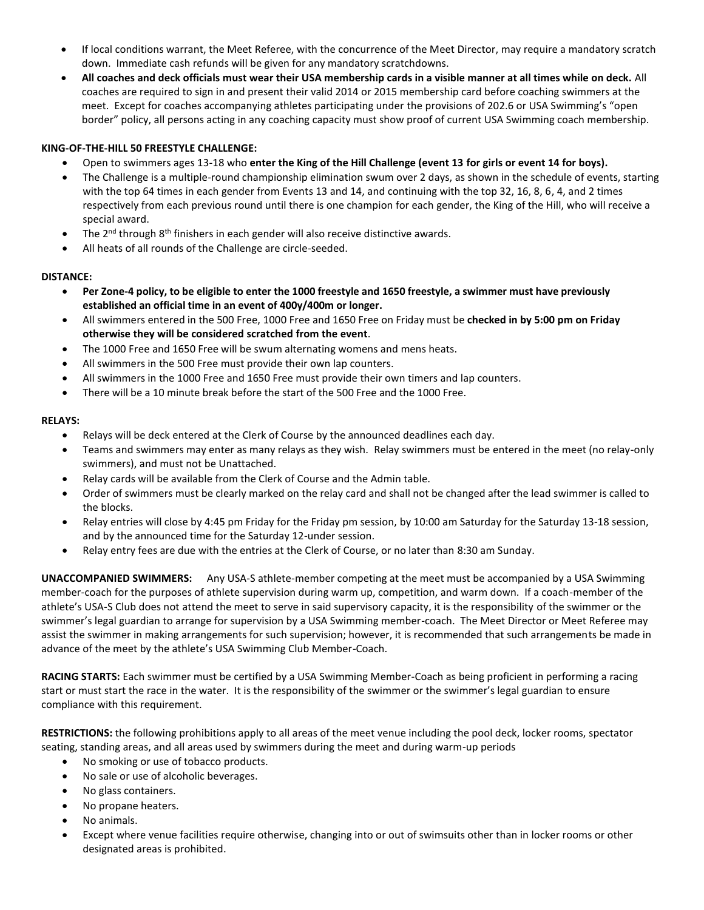- If local conditions warrant, the Meet Referee, with the concurrence of the Meet Director, may require a mandatory scratch down. Immediate cash refunds will be given for any mandatory scratchdowns.
- **All coaches and deck officials must wear their USA membership cards in a visible manner at all times while on deck.** All coaches are required to sign in and present their valid 2014 or 2015 membership card before coaching swimmers at the meet. Except for coaches accompanying athletes participating under the provisions of 202.6 or USA Swimming's "open border" policy, all persons acting in any coaching capacity must show proof of current USA Swimming coach membership.

### **KING-OF-THE-HILL 50 FREESTYLE CHALLENGE:**

- Open to swimmers ages 13-18 who **enter the King of the Hill Challenge (event 13 for girls or event 14 for boys).**
- The Challenge is a multiple-round championship elimination swum over 2 days, as shown in the schedule of events, starting with the top 64 times in each gender from Events 13 and 14, and continuing with the top 32, 16, 8, 6, 4, and 2 times respectively from each previous round until there is one champion for each gender, the King of the Hill, who will receive a special award.
- The  $2^{nd}$  through  $8^{th}$  finishers in each gender will also receive distinctive awards.
- All heats of all rounds of the Challenge are circle-seeded.

### **DISTANCE:**

- **Per Zone-4 policy, to be eligible to enter the 1000 freestyle and 1650 freestyle, a swimmer must have previously established an official time in an event of 400y/400m or longer.**
- All swimmers entered in the 500 Free, 1000 Free and 1650 Free on Friday must be **checked in by 5:00 pm on Friday otherwise they will be considered scratched from the event**.
- The 1000 Free and 1650 Free will be swum alternating womens and mens heats.
- All swimmers in the 500 Free must provide their own lap counters.
- All swimmers in the 1000 Free and 1650 Free must provide their own timers and lap counters.
- There will be a 10 minute break before the start of the 500 Free and the 1000 Free.

### **RELAYS:**

- Relays will be deck entered at the Clerk of Course by the announced deadlines each day.
- Teams and swimmers may enter as many relays as they wish. Relay swimmers must be entered in the meet (no relay-only swimmers), and must not be Unattached.
- Relay cards will be available from the Clerk of Course and the Admin table.
- Order of swimmers must be clearly marked on the relay card and shall not be changed after the lead swimmer is called to the blocks.
- Relay entries will close by 4:45 pm Friday for the Friday pm session, by 10:00 am Saturday for the Saturday 13-18 session, and by the announced time for the Saturday 12-under session.
- Relay entry fees are due with the entries at the Clerk of Course, or no later than 8:30 am Sunday.

**UNACCOMPANIED SWIMMERS:** Any USA-S athlete-member competing at the meet must be accompanied by a USA Swimming member-coach for the purposes of athlete supervision during warm up, competition, and warm down. If a coach-member of the athlete's USA-S Club does not attend the meet to serve in said supervisory capacity, it is the responsibility of the swimmer or the swimmer's legal guardian to arrange for supervision by a USA Swimming member-coach. The Meet Director or Meet Referee may assist the swimmer in making arrangements for such supervision; however, it is recommended that such arrangements be made in advance of the meet by the athlete's USA Swimming Club Member-Coach.

**RACING STARTS:** Each swimmer must be certified by a USA Swimming Member-Coach as being proficient in performing a racing start or must start the race in the water. It is the responsibility of the swimmer or the swimmer's legal guardian to ensure compliance with this requirement.

**RESTRICTIONS:** the following prohibitions apply to all areas of the meet venue including the pool deck, locker rooms, spectator seating, standing areas, and all areas used by swimmers during the meet and during warm-up periods

- No smoking or use of tobacco products.
- No sale or use of alcoholic beverages.
- No glass containers.
- No propane heaters.
- No animals.
- Except where venue facilities require otherwise, changing into or out of swimsuits other than in locker rooms or other designated areas is prohibited.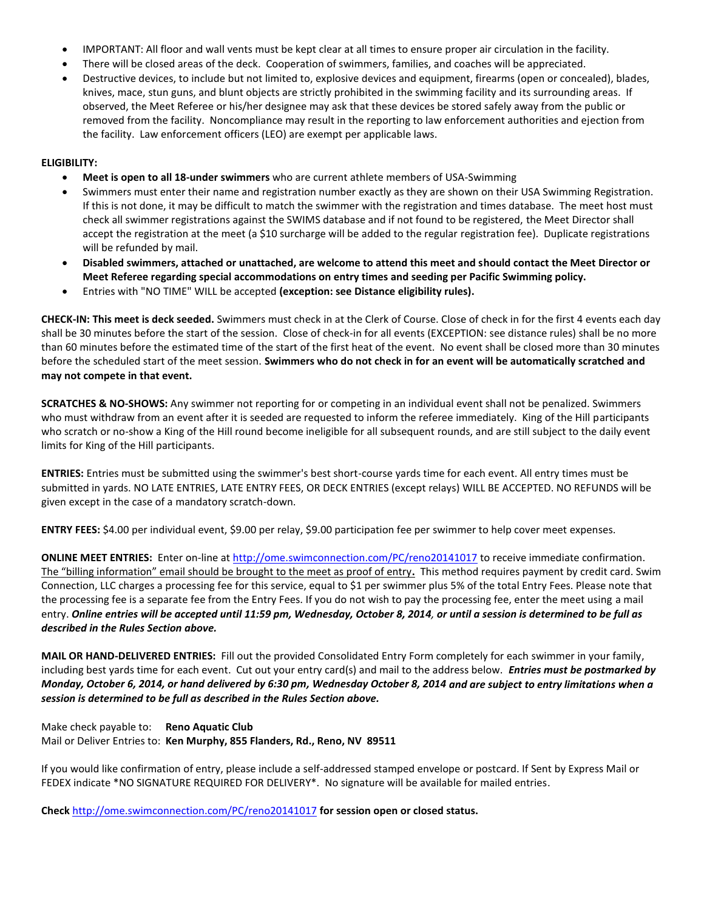- IMPORTANT: All floor and wall vents must be kept clear at all times to ensure proper air circulation in the facility.
- There will be closed areas of the deck. Cooperation of swimmers, families, and coaches will be appreciated.
- Destructive devices, to include but not limited to, explosive devices and equipment, firearms (open or concealed), blades, knives, mace, stun guns, and blunt objects are strictly prohibited in the swimming facility and its surrounding areas. If observed, the Meet Referee or his/her designee may ask that these devices be stored safely away from the public or removed from the facility. Noncompliance may result in the reporting to law enforcement authorities and ejection from the facility. Law enforcement officers (LEO) are exempt per applicable laws.

### **ELIGIBILITY:**

- **Meet is open to all 18-under swimmers** who are current athlete members of USA-Swimming
- Swimmers must enter their name and registration number exactly as they are shown on their USA Swimming Registration. If this is not done, it may be difficult to match the swimmer with the registration and times database. The meet host must check all swimmer registrations against the SWIMS database and if not found to be registered, the Meet Director shall accept the registration at the meet (a \$10 surcharge will be added to the regular registration fee). Duplicate registrations will be refunded by mail.
- **Disabled swimmers, attached or unattached, are welcome to attend this meet and should contact the Meet Director or Meet Referee regarding special accommodations on entry times and seeding per Pacific Swimming policy.**
- Entries with "NO TIME" WILL be accepted **(exception: see Distance eligibility rules).**

**CHECK-IN: This meet is deck seeded.** Swimmers must check in at the Clerk of Course. Close of check in for the first 4 events each day shall be 30 minutes before the start of the session. Close of check-in for all events (EXCEPTION: see distance rules) shall be no more than 60 minutes before the estimated time of the start of the first heat of the event. No event shall be closed more than 30 minutes before the scheduled start of the meet session. **Swimmers who do not check in for an event will be automatically scratched and may not compete in that event.**

**SCRATCHES & NO-SHOWS:** Any swimmer not reporting for or competing in an individual event shall not be penalized. Swimmers who must withdraw from an event after it is seeded are requested to inform the referee immediately. King of the Hill participants who scratch or no-show a King of the Hill round become ineligible for all subsequent rounds, and are still subject to the daily event limits for King of the Hill participants.

**ENTRIES:** Entries must be submitted using the swimmer's best short-course yards time for each event. All entry times must be submitted in yards. NO LATE ENTRIES, LATE ENTRY FEES, OR DECK ENTRIES (except relays) WILL BE ACCEPTED. NO REFUNDS will be given except in the case of a mandatory scratch-down.

**ENTRY FEES:** \$4.00 per individual event, \$9.00 per relay, \$9.00 participation fee per swimmer to help cover meet expenses.

**ONLINE MEET ENTRIES:** Enter on-line a[t http://ome.swimconnection.com/PC/reno20141017](http://ome.swimconnection.com/PC/reno20141017) to receive immediate confirmation. The "billing information" email should be brought to the meet as proof of entry**.** This method requires payment by credit card. Swim Connection, LLC charges a processing fee for this service, equal to \$1 per swimmer plus 5% of the total Entry Fees. Please note that the processing fee is a separate fee from the Entry Fees. If you do not wish to pay the processing fee, enter the meet using a mail entry. *Online entries will be accepted until 11:59 pm, Wednesday, October 8, 2014, or until a session is determined to be full as described in the Rules Section above.*

**MAIL OR HAND-DELIVERED ENTRIES:** Fill out the provided Consolidated Entry Form completely for each swimmer in your family, including best yards time for each event. Cut out your entry card(s) and mail to the address below. *Entries must be postmarked by Monday, October 6, 2014, or hand delivered by 6:30 pm, Wednesday October 8, 2014 and are subject to entry limitations when a session is determined to be full as described in the Rules Section above.*

Make check payable to: **Reno Aquatic Club** Mail or Deliver Entries to: **Ken Murphy, 855 Flanders, Rd., Reno, NV 89511**

If you would like confirmation of entry, please include a self-addressed stamped envelope or postcard. If Sent by Express Mail or FEDEX indicate \*NO SIGNATURE REQUIRED FOR DELIVERY\*. No signature will be available for mailed entries.

**Check** <http://ome.swimconnection.com/PC/reno20141017> **for session open or closed status.**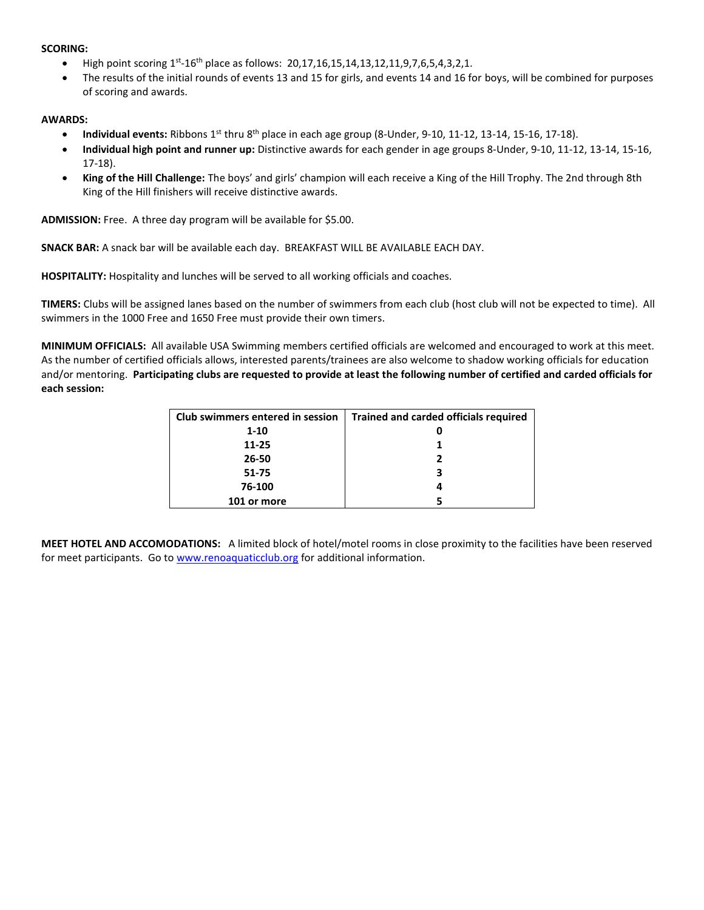#### **SCORING:**

- High point scoring  $1^{st}$ -16<sup>th</sup> place as follows: 20,17,16,15,14,13,12,11,9,7,6,5,4,3,2,1.
- The results of the initial rounds of events 13 and 15 for girls, and events 14 and 16 for boys, will be combined for purposes of scoring and awards.

#### **AWARDS:**

- **Individual events:** Ribbons  $1^{st}$  thru  $8^{th}$  place in each age group (8-Under, 9-10, 11-12, 13-14, 15-16, 17-18).
- **Individual high point and runner up:** Distinctive awards for each gender in age groups 8-Under, 9-10, 11-12, 13-14, 15-16, 17-18).
- **King of the Hill Challenge:** The boys' and girls' champion will each receive a King of the Hill Trophy. The 2nd through 8th King of the Hill finishers will receive distinctive awards.

**ADMISSION:** Free. A three day program will be available for \$5.00.

**SNACK BAR:** A snack bar will be available each day. BREAKFAST WILL BE AVAILABLE EACH DAY.

**HOSPITALITY:** Hospitality and lunches will be served to all working officials and coaches.

**TIMERS:** Clubs will be assigned lanes based on the number of swimmers from each club (host club will not be expected to time). All swimmers in the 1000 Free and 1650 Free must provide their own timers.

**MINIMUM OFFICIALS:** All available USA Swimming members certified officials are welcomed and encouraged to work at this meet. As the number of certified officials allows, interested parents/trainees are also welcome to shadow working officials for education and/or mentoring. **Participating clubs are requested to provide at least the following number of certified and carded officials for each session:**

| Club swimmers entered in session | <b>Trained and carded officials required</b> |
|----------------------------------|----------------------------------------------|
| $1 - 10$                         |                                              |
| $11 - 25$                        |                                              |
| 26-50                            | 2                                            |
| 51-75                            | 3                                            |
| 76-100                           |                                              |
| 101 or more                      |                                              |

**MEET HOTEL AND ACCOMODATIONS:** A limited block of hotel/motel rooms in close proximity to the facilities have been reserved for meet participants. Go t[o www.renoaquaticclub.org](http://www.renoaquaticclub.org/) for additional information.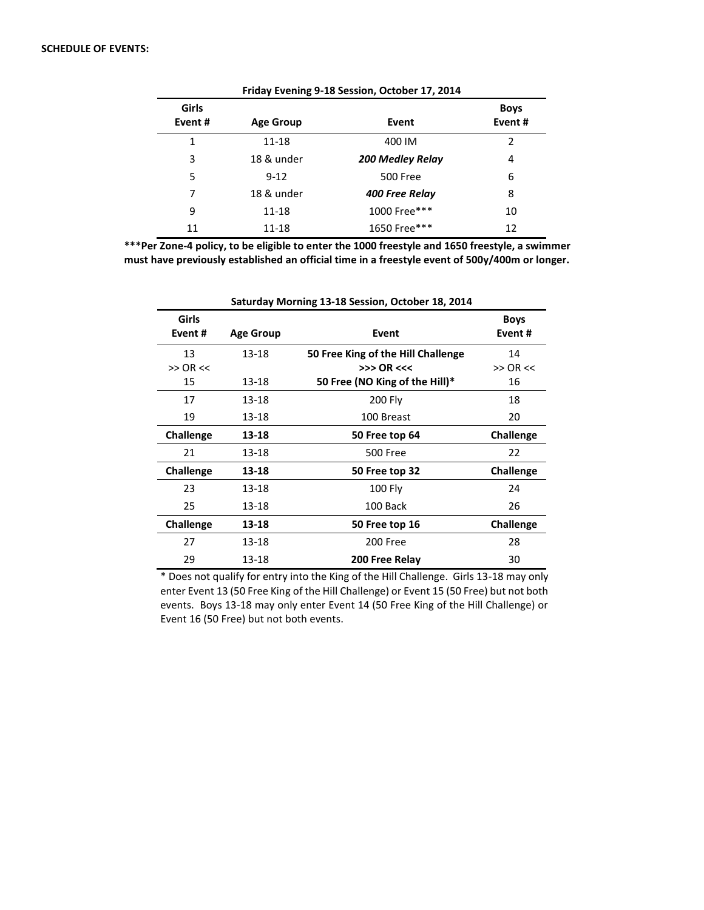| Friday Evening 9-18 Session, October 17, 2014 |                  |                         |                       |  |  |  |  |  |
|-----------------------------------------------|------------------|-------------------------|-----------------------|--|--|--|--|--|
| Girls<br>Event#                               | <b>Age Group</b> | Event                   | <b>Boys</b><br>Event# |  |  |  |  |  |
| 1                                             | 11-18            | 400 IM                  | $\mathcal{P}$         |  |  |  |  |  |
| 3                                             | 18 & under       | <b>200 Medley Relay</b> | 4                     |  |  |  |  |  |
| 5                                             | $9 - 12$         | <b>500 Free</b>         | 6                     |  |  |  |  |  |
| 7                                             | 18 & under       | 400 Free Relay          | 8                     |  |  |  |  |  |
| 9                                             | 11-18            | 1000 Free***            | 10                    |  |  |  |  |  |
| 11                                            | 11-18            | 1650 Free***            | 12                    |  |  |  |  |  |

**\*\*\*Per Zone-4 policy, to be eligible to enter the 1000 freestyle and 1650 freestyle, a swimmer** 

**must have previously established an official time in a freestyle event of 500y/400m or longer.**

| Saturday Morning 13-18 Session, October 18, 2014 |                  |                                    |                       |  |  |  |  |
|--------------------------------------------------|------------------|------------------------------------|-----------------------|--|--|--|--|
| Girls<br>Event#                                  | <b>Age Group</b> | Event                              | <b>Boys</b><br>Event# |  |  |  |  |
| 13                                               | 13-18            | 50 Free King of the Hill Challenge | 14                    |  |  |  |  |
| $>>$ OR $<<$                                     |                  | $>>$ OR <<<                        | $>>$ OR $<<$          |  |  |  |  |
| 15                                               | 13-18            | 50 Free (NO King of the Hill)*     | 16                    |  |  |  |  |
| 17                                               | 13-18            | 200 Fly                            | 18                    |  |  |  |  |
| 19                                               | 13-18            | 100 Breast                         | 20                    |  |  |  |  |
| <b>Challenge</b>                                 | 13-18            | 50 Free top 64                     | <b>Challenge</b>      |  |  |  |  |
| 21                                               | 13-18            | <b>500 Free</b>                    | 22                    |  |  |  |  |
| <b>Challenge</b>                                 | 13-18            | 50 Free top 32                     | Challenge             |  |  |  |  |
| 23                                               | 13-18            | $100$ Fly                          | 24                    |  |  |  |  |
| 25                                               | 13-18            | 100 Back                           | 26                    |  |  |  |  |
| <b>Challenge</b>                                 | 13-18            | 50 Free top 16                     | <b>Challenge</b>      |  |  |  |  |
| 27                                               | 13-18            | 200 Free                           | 28                    |  |  |  |  |
| 29                                               | 13-18            | 200 Free Relay                     | 30                    |  |  |  |  |

\* Does not qualify for entry into the King of the Hill Challenge. Girls 13-18 may only enter Event 13 (50 Free King of the Hill Challenge) or Event 15 (50 Free) but not both events. Boys 13-18 may only enter Event 14 (50 Free King of the Hill Challenge) or Event 16 (50 Free) but not both events.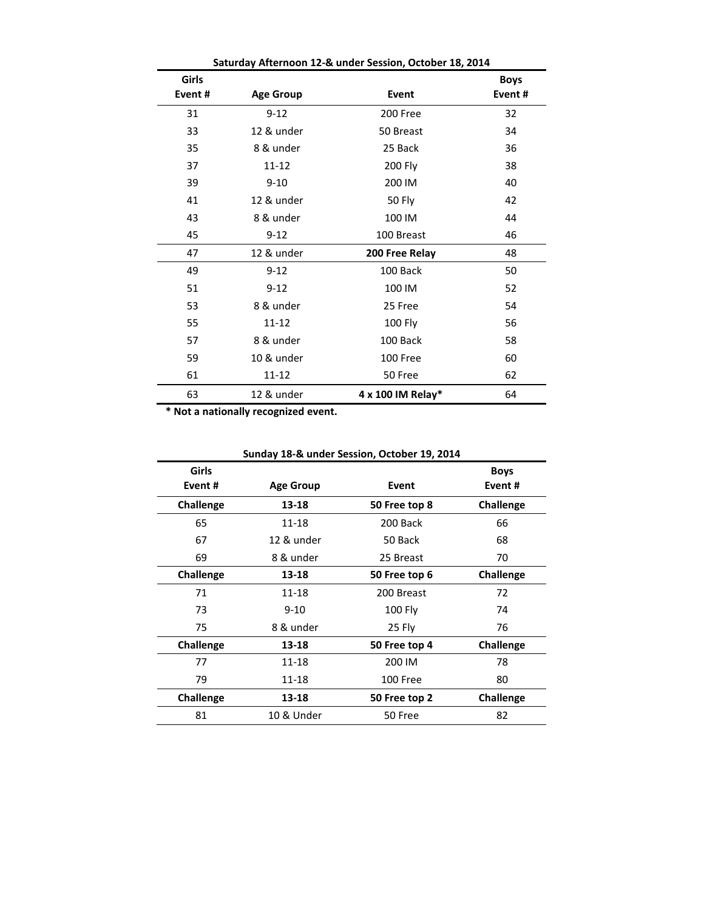| Saturday Afternoon 12-& under Session, October 18, 2014 |                  |                   |                       |  |  |  |  |
|---------------------------------------------------------|------------------|-------------------|-----------------------|--|--|--|--|
| Girls<br>Event#                                         | <b>Age Group</b> | Event             | <b>Boys</b><br>Event# |  |  |  |  |
|                                                         |                  |                   |                       |  |  |  |  |
| 31                                                      | $9 - 12$         | 200 Free          | 32                    |  |  |  |  |
| 33                                                      | 12 & under       | 50 Breast         | 34                    |  |  |  |  |
| 35                                                      | 8 & under        | 25 Back           | 36                    |  |  |  |  |
| 37                                                      | 11-12            | 200 Fly           | 38                    |  |  |  |  |
| 39                                                      | $9 - 10$         | 200 IM            | 40                    |  |  |  |  |
| 41                                                      | 12 & under       | <b>50 Fly</b>     | 42                    |  |  |  |  |
| 43                                                      | 8 & under        | 100 IM            | 44                    |  |  |  |  |
| 45                                                      | $9 - 12$         | 100 Breast        | 46                    |  |  |  |  |
| 47                                                      | 12 & under       | 200 Free Relay    | 48                    |  |  |  |  |
| 49                                                      | $9 - 12$         | 100 Back          | 50                    |  |  |  |  |
| 51                                                      | $9 - 12$         | 100 IM            | 52                    |  |  |  |  |
| 53                                                      | 8 & under        | 25 Free           | 54                    |  |  |  |  |
| 55                                                      | $11 - 12$        | 100 Fly           | 56                    |  |  |  |  |
| 57                                                      | 8 & under        | 100 Back          | 58                    |  |  |  |  |
| 59                                                      | 10 & under       | 100 Free          | 60                    |  |  |  |  |
| 61                                                      | 11-12            | 50 Free           | 62                    |  |  |  |  |
| 63                                                      | 12 & under       | 4 x 100 IM Relay* | 64                    |  |  |  |  |

**\* Not a nationally recognized event.**

| Girls<br>Event# | Event<br><b>Age Group</b> |               | <b>Boys</b><br>Event# |  |  |
|-----------------|---------------------------|---------------|-----------------------|--|--|
| Challenge       | 13-18                     | 50 Free top 8 | Challenge             |  |  |
| 65              | 11-18                     | 200 Back      | 66                    |  |  |
| 67              | 12 & under                | 50 Back       | 68                    |  |  |
| 69              | 8 & under                 | 25 Breast     | 70                    |  |  |
| Challenge       | 13-18                     | 50 Free top 6 | Challenge             |  |  |
| 71              | $11 - 18$                 | 200 Breast    | 72                    |  |  |
| 73              | $9 - 10$                  | $100$ Fly     | 74                    |  |  |
| 75              | 8 & under                 | 25 Fly        | 76                    |  |  |
| Challenge       | 13-18                     | 50 Free top 4 | Challenge             |  |  |
| 77              | 11-18                     | 200 IM        | 78                    |  |  |
| 79              | 11-18                     | 100 Free      | 80                    |  |  |
| Challenge       | 13-18                     | 50 Free top 2 | Challenge             |  |  |
| 81              | 10 & Under                | 50 Free       | 82                    |  |  |

**Sunday 18-& under Session, October 19, 2014**